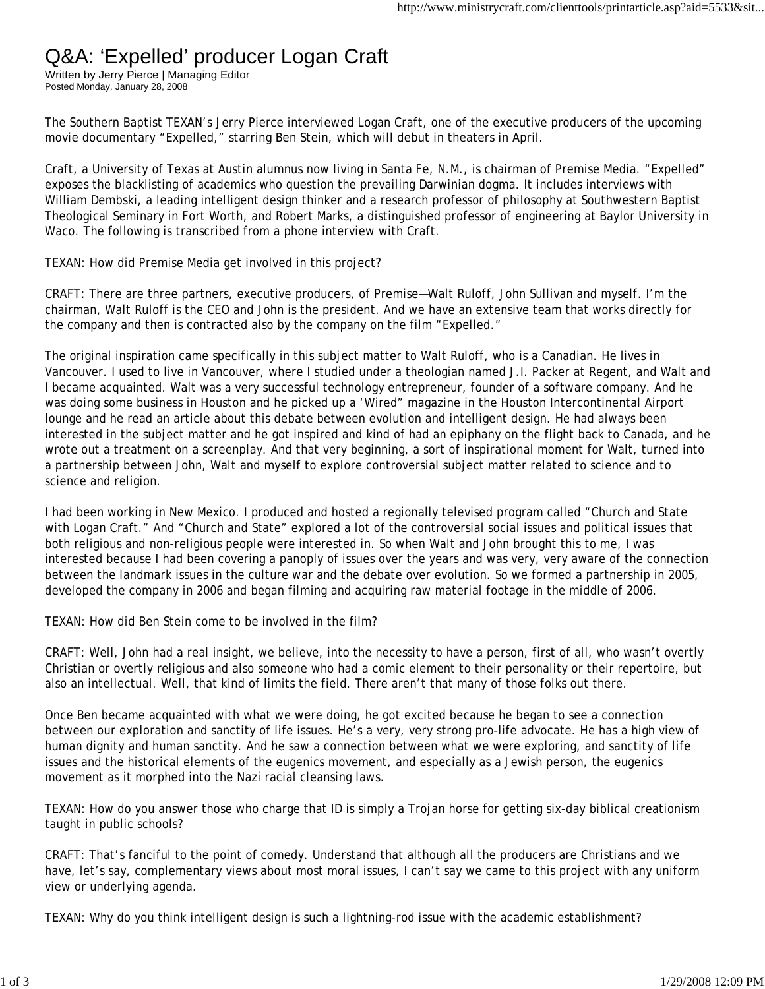## Q&A: 'Expelled' producer Logan Craft

Written by Jerry Pierce | Managing Editor Posted Monday, January 28, 2008

The Southern Baptist TEXAN's Jerry Pierce interviewed Logan Craft, one of the executive producers of the upcoming movie documentary "Expelled," starring Ben Stein, which will debut in theaters in April.

Craft, a University of Texas at Austin alumnus now living in Santa Fe, N.M., is chairman of Premise Media. "Expelled" exposes the blacklisting of academics who question the prevailing Darwinian dogma. It includes interviews with William Dembski, a leading intelligent design thinker and a research professor of philosophy at Southwestern Baptist Theological Seminary in Fort Worth, and Robert Marks, a distinguished professor of engineering at Baylor University in Waco. The following is transcribed from a phone interview with Craft.

TEXAN: How did Premise Media get involved in this project?

CRAFT: There are three partners, executive producers, of Premise—Walt Ruloff, John Sullivan and myself. I'm the chairman, Walt Ruloff is the CEO and John is the president. And we have an extensive team that works directly for the company and then is contracted also by the company on the film "Expelled."

The original inspiration came specifically in this subject matter to Walt Ruloff, who is a Canadian. He lives in Vancouver. I used to live in Vancouver, where I studied under a theologian named J.I. Packer at Regent, and Walt and I became acquainted. Walt was a very successful technology entrepreneur, founder of a software company. And he was doing some business in Houston and he picked up a 'Wired" magazine in the Houston Intercontinental Airport lounge and he read an article about this debate between evolution and intelligent design. He had always been interested in the subject matter and he got inspired and kind of had an epiphany on the flight back to Canada, and he wrote out a treatment on a screenplay. And that very beginning, a sort of inspirational moment for Walt, turned into a partnership between John, Walt and myself to explore controversial subject matter related to science and to science and religion.

I had been working in New Mexico. I produced and hosted a regionally televised program called "Church and State with Logan Craft." And "Church and State" explored a lot of the controversial social issues and political issues that both religious and non-religious people were interested in. So when Walt and John brought this to me, I was interested because I had been covering a panoply of issues over the years and was very, very aware of the connection between the landmark issues in the culture war and the debate over evolution. So we formed a partnership in 2005, developed the company in 2006 and began filming and acquiring raw material footage in the middle of 2006.

TEXAN: How did Ben Stein come to be involved in the film?

CRAFT: Well, John had a real insight, we believe, into the necessity to have a person, first of all, who wasn't overtly Christian or overtly religious and also someone who had a comic element to their personality or their repertoire, but also an intellectual. Well, that kind of limits the field. There aren't that many of those folks out there.

Once Ben became acquainted with what we were doing, he got excited because he began to see a connection between our exploration and sanctity of life issues. He's a very, very strong pro-life advocate. He has a high view of human dignity and human sanctity. And he saw a connection between what we were exploring, and sanctity of life issues and the historical elements of the eugenics movement, and especially as a Jewish person, the eugenics movement as it morphed into the Nazi racial cleansing laws.

TEXAN: How do you answer those who charge that ID is simply a Trojan horse for getting six-day biblical creationism taught in public schools?

CRAFT: That's fanciful to the point of comedy. Understand that although all the producers are Christians and we have, let's say, complementary views about most moral issues, I can't say we came to this project with any uniform view or underlying agenda.

TEXAN: Why do you think intelligent design is such a lightning-rod issue with the academic establishment?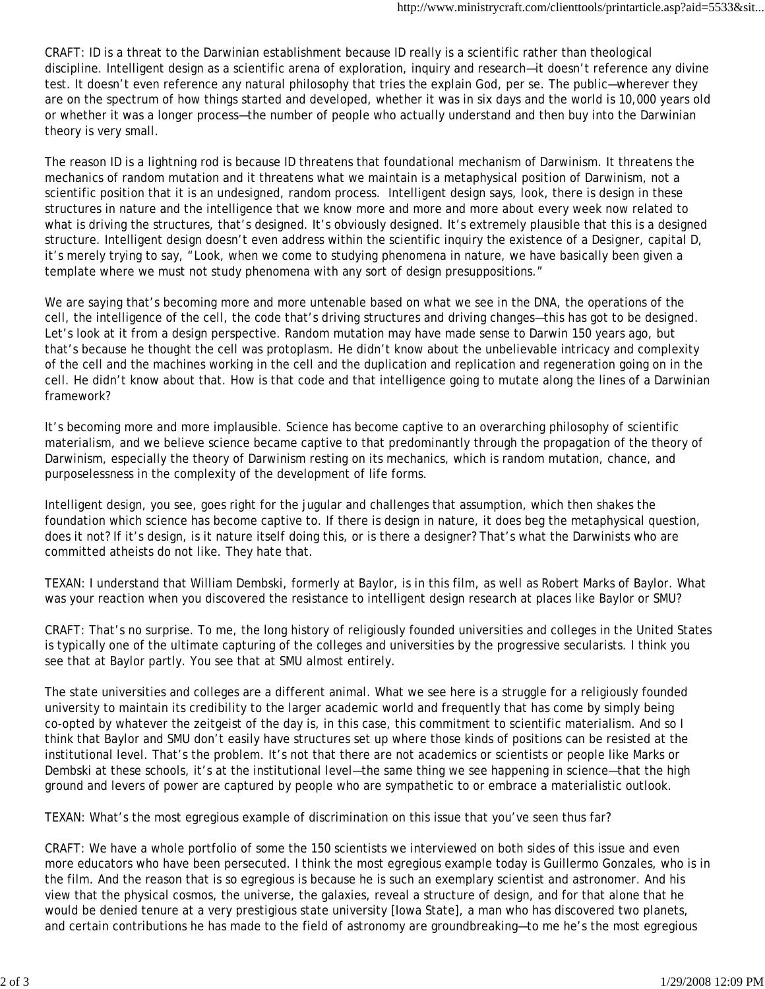CRAFT: ID is a threat to the Darwinian establishment because ID really is a scientific rather than theological discipline. Intelligent design as a scientific arena of exploration, inquiry and research—it doesn't reference any divine test. It doesn't even reference any natural philosophy that tries the explain God, per se. The public—wherever they are on the spectrum of how things started and developed, whether it was in six days and the world is 10,000 years old or whether it was a longer process—the number of people who actually understand and then buy into the Darwinian theory is very small.

The reason ID is a lightning rod is because ID threatens that foundational mechanism of Darwinism. It threatens the mechanics of random mutation and it threatens what we maintain is a metaphysical position of Darwinism, not a scientific position that it is an undesigned, random process. Intelligent design says, look, there is design in these structures in nature and the intelligence that we know more and more and more about every week now related to what is driving the structures, that's designed. It's obviously designed. It's extremely plausible that this is a designed structure. Intelligent design doesn't even address within the scientific inquiry the existence of a Designer, capital D, it's merely trying to say, "Look, when we come to studying phenomena in nature, we have basically been given a template where we must not study phenomena with any sort of design presuppositions."

We are saying that's becoming more and more untenable based on what we see in the DNA, the operations of the cell, the intelligence of the cell, the code that's driving structures and driving changes—this has got to be designed. Let's look at it from a design perspective. Random mutation may have made sense to Darwin 150 years ago, but that's because he thought the cell was protoplasm. He didn't know about the unbelievable intricacy and complexity of the cell and the machines working in the cell and the duplication and replication and regeneration going on in the cell. He didn't know about that. How is that code and that intelligence going to mutate along the lines of a Darwinian framework?

It's becoming more and more implausible. Science has become captive to an overarching philosophy of scientific materialism, and we believe science became captive to that predominantly through the propagation of the theory of Darwinism, especially the theory of Darwinism resting on its mechanics, which is random mutation, chance, and purposelessness in the complexity of the development of life forms.

Intelligent design, you see, goes right for the jugular and challenges that assumption, which then shakes the foundation which science has become captive to. If there is design in nature, it does beg the metaphysical question, does it not? If it's design, is it nature itself doing this, or is there a designer? That's what the Darwinists who are committed atheists do not like. They hate that.

TEXAN: I understand that William Dembski, formerly at Baylor, is in this film, as well as Robert Marks of Baylor. What was your reaction when you discovered the resistance to intelligent design research at places like Baylor or SMU?

CRAFT: That's no surprise. To me, the long history of religiously founded universities and colleges in the United States is typically one of the ultimate capturing of the colleges and universities by the progressive secularists. I think you see that at Baylor partly. You see that at SMU almost entirely.

The state universities and colleges are a different animal. What we see here is a struggle for a religiously founded university to maintain its credibility to the larger academic world and frequently that has come by simply being co-opted by whatever the zeitgeist of the day is, in this case, this commitment to scientific materialism. And so I think that Baylor and SMU don't easily have structures set up where those kinds of positions can be resisted at the institutional level. That's the problem. It's not that there are not academics or scientists or people like Marks or Dembski at these schools, it's at the institutional level—the same thing we see happening in science—that the high ground and levers of power are captured by people who are sympathetic to or embrace a materialistic outlook.

TEXAN: What's the most egregious example of discrimination on this issue that you've seen thus far?

CRAFT: We have a whole portfolio of some the 150 scientists we interviewed on both sides of this issue and even more educators who have been persecuted. I think the most egregious example today is Guillermo Gonzales, who is in the film. And the reason that is so egregious is because he is such an exemplary scientist and astronomer. And his view that the physical cosmos, the universe, the galaxies, reveal a structure of design, and for that alone that he would be denied tenure at a very prestigious state university [Iowa State], a man who has discovered two planets, and certain contributions he has made to the field of astronomy are groundbreaking—to me he's the most egregious